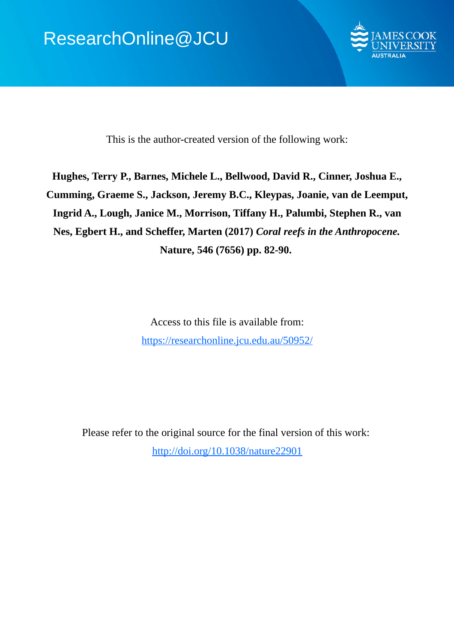

This is the author-created version of the following work:

**Hughes, Terry P., Barnes, Michele L., Bellwood, David R., Cinner, Joshua E., Cumming, Graeme S., Jackson, Jeremy B.C., Kleypas, Joanie, van de Leemput, Ingrid A., Lough, Janice M., Morrison, Tiffany H., Palumbi, Stephen R., van Nes, Egbert H., and Scheffer, Marten (2017)** *Coral reefs in the Anthropocene.* **Nature, 546 (7656) pp. 82-90.** 

> Access to this file is available from: https://researchonline.jcu.edu.au/50952/

Please refer to the original source for the final version of this work: http://doi.org/10.1038/nature22901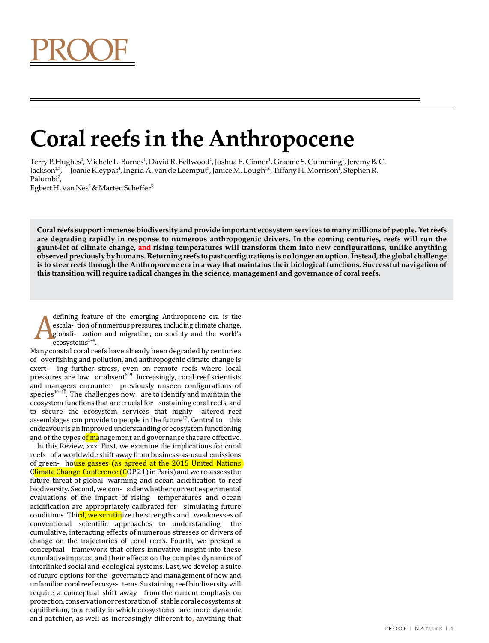

# **Coral reefs in the Anthropocene**

Terry P. Hughes<sup>1</sup>, Michele L. Barnes<sup>1</sup>, David R. Bellwood<sup>1</sup>, Joshua E. Cinner<sup>1</sup>, Graeme S. Cumming<sup>1</sup>, Jeremy B. C. Jackson<sup>2,3</sup>, Joanie Kleypas<sup>4</sup>, Ingrid A. van de Leemput<sup>5</sup>, Janice M. Lough<sup>1,6</sup>, Tiffany H. Morrison<sup>1</sup>, Stephen R. Palumbi<sup>7</sup>,

Egbert H. van Nes<sup>5</sup> & Marten Scheffer<sup>5</sup>

**Coralreefs support immense biodiversity and provide important ecosystem services to many millions of people. Yetreefs** are degrading rapidly in response to numerous anthropogenic drivers. In the coming centuries, reefs will run the **gaunt-let of climate change,** and **rising temperatures will transform them into new configurations, unlike anything observedpreviouslybyhumans. Returning reefs topast configurations isno longer an option.Instead,the global challenge** is to steer reefs through the Anthropocene era in a way that maintains their biological functions. Successful navigation of **this transition will require radical changes in the science, management and governance of coral reefs.**

Secala- tion of numerous pressures, including climate change, globali- zation and migration, on society and the world's ecosystems<sup>1-4</sup>.<br>Many coastal coral reefs have already been degraded by centuries defining feature of the emerging Anthropocene era is the escala- tion of numerous pressures, including climate change, globali- zation and migration, on society and the world's  $ecosystems<sup>1-4</sup>$ .

of overfishing and pollution, and anthropogenic climate change is exert- ing further stress, even on remote reefs where local pressures are low or absent<sup> $5-9$ </sup>. Increasingly, coral reef scientists and managers encounter previously unseen configurations of species<sup>10–12</sup>. The challenges now are to identify and maintain the ecosystem functions that are crucial for sustaining coral reefs, and to secure the ecosystem services that highly altered reef assemblages can provide to people in the future<sup>13</sup>. Central to this endeavour is an improved understanding of ecosystem functioning and of the types of management and governance that are effective.

In this Review, xxx. First, we examine the implications for coral reefs of a worldwide shift away from business-as-usual emissions of green- house gasses (as agreed at the 2015 United Nations Climate Change Conference (COP21) in Paris) and we re-assess the future threat of global warming and ocean acidification to reef biodiversity. Second, we con- sider whether current experimental evaluations of the impact of rising temperatures and ocean acidification are appropriately calibrated for simulating future conditions. Third, we scrutinize the strengths and weaknesses of conventional scientific approaches to understanding the cumulative, interacting effects of numerous stresses or drivers of change on the trajectories of coral reefs. Fourth, we present a conceptual framework that offers innovative insight into these cumulativeimpacts and their effects on the complex dynamics of interlinked social and ecological systems. Last, we develop a suite of future options for the governance and management of new and unfamiliar coral reefecosys- tems. Sustaining reefbiodiversitywill require a conceptual shift away from the current emphasis on protection,conservationorrestorationof stablecoralecosystemsat equilibrium, to a reality in which ecosystems are more dynamic and patchier, as well as increasingly different to, anything that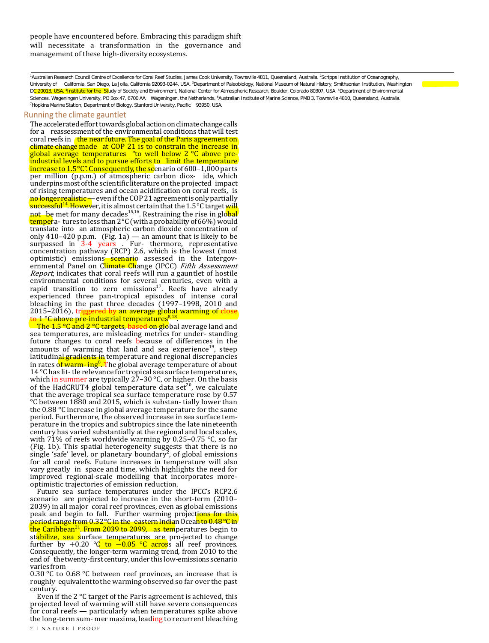<sup>1</sup>Australian Research Council Centre of Excellence for Coral Reef Studies, James Cook University, Townsville 4811, Queensland, Australia. <sup>2</sup>Scripps Institution of Oceanography, University of California, San Diego, La Jolla, California 92093-0244, USA. <sup>3</sup>Department of Paleobiology, National Museum of Natural History, Smithsonian Institution, Washington D<mark>C 20013, USA. <sup>4</sup>Institute for the Stu</mark>dy of Society and Environment, National Center for Atmospheric Research, Boulder, Colorado 80307, USA. <sup>5</sup>Department of Environmental Sciences, Wageningen University, PO Box 47, 6700 AA Wageningen, the Netherlands. °Australian Institute of Marine Science, PMB 3, Townsville 4810, Queensland, Australia. 7 Hopkins Marine Station, Department of Biology, Stanford University, Pacific 93950, USA.

#### Running the climate gauntlet

The accelerated effort towards global action on climate change calls for a reassessment of the environmental conditions that will test coral reefs in the near future. The goal of the Paris agreement on climate change made at COP 21 is to constrain the increase in global average temperatures "to well below 2 °C above preindustrial levels and to pursue efforts to limit the temperature increase to 1.5°C". Consequently, the scenario of 600-1,000 parts per million (p.p.m.) of atmospheric carbon diox- ide, which underpinsmostofthescientificliteratureontheprojected impact of rising temperatures and ocean acidification on coral reefs, is nolonger realistic— even if the COP 21 agreement is only partially <mark>successful<sup>14</sup>. Howev</mark>er, it is almost certain that the 1.5 °C target <mark>will</mark> not be met for many decades<sup>15,16</sup>. Restraining the rise in global <mark>temper</mark>a--tures to less than 2°C (with a probability of 66%) would translate into an atmospheric carbon dioxide concentration of only 410–420 p.p.m. (Fig. 1a) — an amount that is likely to be surpassed in 3-4 years . Fur- thermore, representative concentration pathway (RCP) 2.6, which is the lowest (most optimistic) emissions scenario assessed in the Intergovernmental Panel on Climate Change (IPCC) Fifth Assessment Report, indicates that coral reefs will run a gauntlet of hostile environmental conditions for several centuries, even with a rapid transition to zero emissions<sup>17</sup>. Reefs have already experienced three pan-tropical episodes of intense coral bleaching in the past three decades (1997–1998, 2010 and 2015–2016), triggered by an average global warming of close to  $1^{\circ}$ C above pre-industrial temperatures  $8,18$ 

The 1.5 °C and 2 °C targets, based on global average land and sea temperatures, are misleading metrics for under- standing future changes to coral reefs because of differences in the amounts of warming that land and sea experience<sup>19</sup>, steep latitudinal gradients in temperature and regional discrepancies<br>in rates of warm- ing<sup>8</sup>. The global average temperature of about 14 °C has lit-tle relevance for tropical sea surface temperatures, which in summer are typically 27-30 °C, or higher. On the basis of the HadCRUT4 global temperature data set<sup>20</sup>, we calculate that the average tropical sea surface temperature rose by 0.57 °C between 1880 and 2015, which is substan- tially lower than the 0.88 °C increase in global average temperature for the same period. Furthermore, the observed increase in sea surface temperature in the tropics and subtropics since the late nineteenth century has varied substantially at the regional and local scales, with 71% of reefs worldwide warming by 0.25-0.75 °C, so far (Fig. 1b). This spatial heterogeneity suggests that there is no single 'safe' level, or planetary boundary<sup>2</sup>, of global emissions for all coral reefs. Future increases in temperature will also vary greatly in space and time, which highlights the need for improved regional-scale modelling that incorporates moreoptimistic trajectories of emission reduction.

Future sea surface temperatures under the IPCC's RCP2.6 scenario are projected to increase in the short-term (2010– 2039) in all major coral reef provinces, even as global emissions peak and begin to fall. Further warming projections for this period range from 0.32 °C in the eastern Indian Ocean to 0.48 °C in the Caribbean<sup>21</sup>. From 2039 to 2099, as temperatures begin to stabilize, sea surface temperatures are pro-jected to change further by +0.20 °C to  $-0.05$  °C across all reef provinces. Consequently, the longer-term warming trend, from 2010 to the end of the twenty-first century, under this low-emissions scenario variesfrom

0.30 °C to 0.68 °C between reef provinces, an increase that is roughly equivalenttothe warming observed so far over the past century.

Even if the 2 °C target of the Paris agreement is achieved, this projected level of warming will still have severe consequences for coral reefs — particularly when temperatures spike above the long-term sum- mer maxima, leading to recurrent bleaching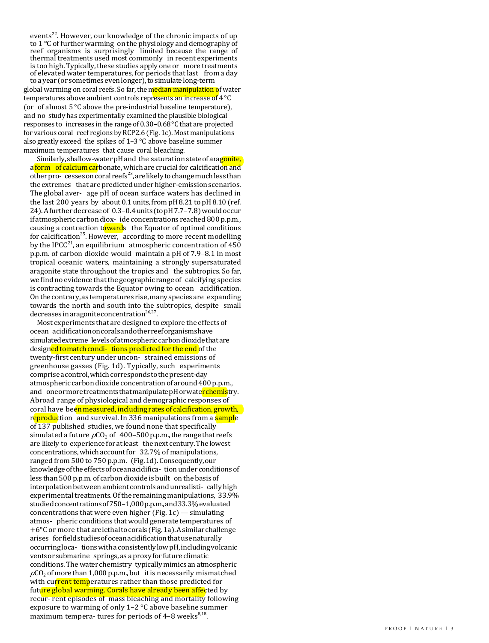events<sup>22</sup>. However, our knowledge of the chronic impacts of up to 1 °C of furtherwarming on the physiology and demography of reef organisms is surprisingly limited because the range of thermal treatments used most commonly in recent experiments is too high. Typically, these studies apply one or more treatments of elevated water temperatures, for periods that last from a day

to a year (or sometimes even longer), to simulate long-term global warming on coral reefs. So far, the median manipulation of water temperatures above ambient controls represents an increase of 4 °C (or of almost 5 °C above the pre -industrial baseline temperature), and no study has experimentally examined the plausible biological responses to increases in the range of 0.30 –0.68°C that are projected for various coral reef regions byRCP2.6 (Fig. 1c). Most manipulations also greatly exceed the spikes of 1 – 3 °C above baseline summer maximum temperatures that cause coral bleaching.

Similarly, shallow-water pH and the saturation state of ara<mark>gonite,</mark> a form of calcium carbonate, which are crucial for calcification and other pro- cesses on coral reefs<sup>23</sup>, are likely to change much less than the extremes  $\,$  that are predicted under higher-emission scenarios. The global aver - age pH of ocean surface waters has declined in the last 200 years by about 0.1 units, from  $pH8.21$  to  $pH8.10$  (ref. 24). Afurtherdecreaseof 0.3 –0.4units(topH7.7 –7.8)wouldoccur if atmospheric carbon diox- ide concentrations reached 800 p.p.m., causing a contraction t<mark>oward</mark>s the Equator of optimal conditions for calcification<sup>25</sup>. However, according to more recent modelling by the IPCC<sup>21</sup>, an equilibrium atmospheric concentration of  $450$ p.p.m. of carbon dioxide would maintain a pH of 7.9 –8.1 in most tropical oceanic waters, maintaining a strongly supersaturated aragonite state throughout the tropics and the subtropics. So far, we find no evidence that the geographic range of calcifying species is contracting towards the Equator owing to ocean acidification. Onthe contrary,as temperaturesrise,manyspeciesare expanding towards the north and south into the subtropics, despite small decreases in aragonite concentration<sup>26,27</sup>.

Most experiments that aredesigned to explore the effects of ocean acidificationoncoralsandotherreeforganismshave simulatedextreme levelsofatmosphericcarbondioxidethatare design<mark>ed to match condi- tions predicted for the end</mark> of the twenty -first century under uncon - strained emissions of greenhouse gasses (Fig. 1d). Typically, such experiments comprise acontrol,whichcorrespondstothepresent -day atmospheric carbon dioxide concentration of around400 p.p.m., and oneormoretreatmentsthatmanipulatepHorwaterchemistry. Abroad range of physiological and demographic responses of coral have been measured, including rates of calcification, growth, r<mark>eproduc</mark>tion and survival. In 336 manipulations from a <mark>sampl</mark>e of 137 published studies, we found none that specifically simulated a future  $pCO_2$  of  $\,$  400–500 p.p.m., the range that reefs are likely to experiencefor atleast thenext century.Thelowest concentrations ,whichaccountfor 32.7% of manipulations , ranged from 500 to 750 p.p.m. (Fig.1d).Consequently,our knowledgeoftheeffectsofoceanacidifica - tion under conditionsof less than 500 p.p.m. of carbon dioxide is built onthe basisof interpolation between ambient controls and unrealisti-  $\,$  cally high experimental treatments. Of the remaining manipulations, 33.9% studiedconcentrationsof750 –1,000p.p.m.,and33.3%evaluated concentrations that were even higher (Fig. 1c) — simulating atmos - pheric conditions thatwould generate temperatures of + 6°C or more thatarelethaltocorals(Fig.1a). Asimilarchallenge arises forfieldstudiesofoceanacidificationthatusenaturally occurringloca - tionswith aconsistentlylowpH,includingvolcanic ventsorsubmarine springs,as aproxyfor future climatic conditions. The water chemistry typically mimics an atmospheric  $pCO<sub>2</sub>$  of more than 1,000 p.p.m., but it is necessarily mismatched with current temperatures rather than those predicted for future global warming. Corals have already been affected by recur - rent episodes of mass bleaching and mortality following exposure to warming of only 1 –2 °C above baseline summer maximum tempera- tures for periods of 4–8 weeks<sup>8,18</sup>.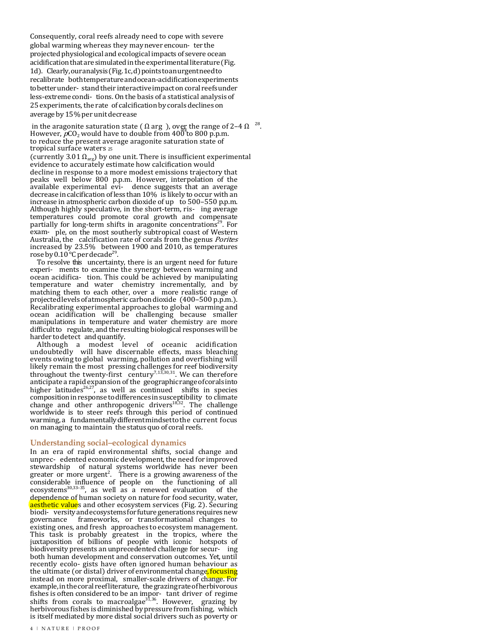Consequently, coral reefs already need to cope with severe global warming whereas they maynever encoun- ter the projected physiological and ecological impacts of severe ocean acidification that are simulated in the experimental literature (Fig. 1d). Clearly,ouranalysis(Fig.1c,d)pointstoanurgentneedto recalibrate bothtemperatureandocean-acidificationexperiments to better under-stand their interactive impact on coral reefs under less-extremecondi- tions.On the basis of a statistical analysis of 25 experiments, the rate of calcification by corals declines on averageby15%per unitdecrease

However,  $pCO<sub>2</sub>$  would have to double from  $400$  to  $800$  p.p.m. in the aragonite saturation state ( $\Omega$  arg), over the range of 2-4  $\Omega^{-28}$ . to reduce the present average aragonite saturation state of tropical surface waters <sup>25</sup>

(currently 3.01  $\Omega_{\text{arg}}$ ) by one unit. There is insufficient experimental evidence to accurately estimate how calcification would decline in response to a more modest emissions trajectory that peaks well below 800 p.p.m. However, interpolation of the available experimental evi- dence suggests that an average decrease in calcification of less than  $10\%$  is likely to occur with an increase in atmospheric carbon dioxide of up to 500–550 p.p.m. Although highly speculative, in the short-term, ris- ing average temperatures could promote coral growth and compensate partially for long-term shifts in aragonite concentrations<sup>29</sup>. For exam- ple, on the most southerly subtropical coast of Western Australia, the calcification rate of corals from the genus *Porites* increased by 23.5% between 1900 and 2010, as temperatures rose by  $0.10^{\circ}$ C per decade<sup>29</sup>.

To resolve this uncertainty, there is an urgent need for future experi- ments to examine the synergy between warming and ocean acidifica- tion. This could be achieved by manipulating temperature and water chemistry incrementally, and by matching them to each other, over a more realistic range of projected levels of atmospheric carbon dioxide (400–500 p.p.m.). Recalibrating experimental approaches to global warming and ocean acidification will be challenging because smaller manipulations in temperature and water chemistry are more difficult to regulate, and the resulting biological responses will be harder to detect and quantify.

Although a modest level of oceanic acidification undoubtedly will have discernable effects, mass bleaching events owing to global warming, pollution and overfishing will likely remain the most pressing challenges for reef biodiversity throughout the twenty-first century7,13,30,31. We can therefore anticipate a rapid expansion of the geographic range of corals into<br>higher latitudes<sup>26,27</sup>, as well as continued shifts in species composition in response to differences in susceptibility  $\,$  to climate change and other anthropogenic drivers<sup>18,32</sup>. The challenge worldwide is to steer reefs through this period of continued warming, a fundamentallydifferentmindsettothe current focus on managing to maintain the statusquo of coral reefs.

### **Understanding social–ecological dynamics**

In an era of rapid environmental shifts, social change and unprec- edented economic development, the need for improved stewardship of natural systems worldwide has never been<br>greater or more urgent<sup>2</sup>. There is a growing awareness of the considerable influence of people on the functioning of all  $e\cos\theta$  is  $\cos\theta$  as well as a renewed evaluation of the dependence of human society on nature for food security, water, aesthetic values and other ecosystem services (Fig. 2). Securing biodi- versity and ecosystems for future generations requires new governance frameworks, or transformational changes to existing ones, and fresh approaches to ecosystem management. This task is probably greatest in the tropics, where the juxtaposition of billions of people with iconic hotspots of biodiversity presents an unprecedented challenge for secur- ing both human development and conservation outcomes. Yet, until recently ecolo- gists have often ignored human behaviour as the ultimate (or distal) driver of environmental change, focusing instead on more proximal, smaller-scale drivers of change. For example, in the coral reefliterature, the grazing rate of herbivorous fishes is often considered to be an impor- tant driver of regime<br>shifts from corals to macroalgae<sup>31,36</sup>. However, grazing by herbivorous fishes is diminished by pressure from fishing, which is itself mediated by more distal social drivers such as poverty or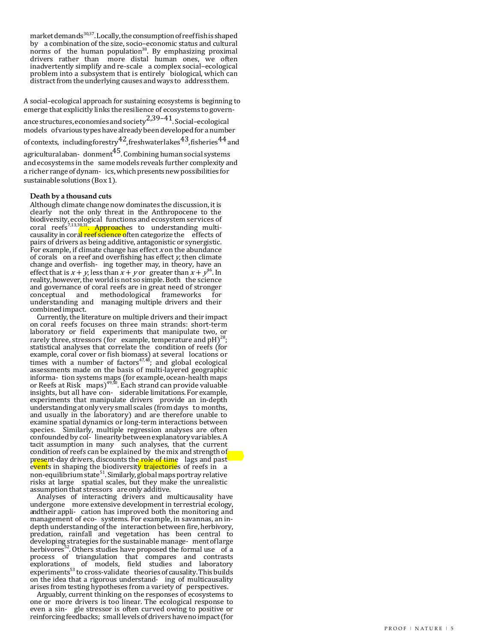market demands<sup>30,37</sup>. Locally, the consumption of reef fish is shaped by a combination of the size, socio-economic status and cultural norms of the human population<sup>38</sup>. By emphasizing proximal drivers rather than more distal human ones, we often inadvertently simplify and re -scale a complex social –ecological problem into a subsystem that is entirely biological, which can distract from the underlying causes and ways to address them.

A social –ecological approach for sustaining ecosystems is beginning to emerge that explicitly links the resilience of ecosystems to govern ance structures, economies and society<sup>2,39–41</sup>. Social-ecological models  $\,$  of various types have already been developed for a number of contexts, including for estry  $42^2$ , freshwaterlakes  $43^3$ , fisheries  $44^4$  and agriculturalaban donment<sup>45</sup>. Combining human social systems and ecosystems in the samemodels reveals further complexityand a richer range of dynam- ics, which presents new possibilities for sustainablesolutions (Box1).

### **Death b y a thousan d cuts**

Although climate change now dominates the discussion, it is clearly not the only threat in the Anthropocene to the clearly not the only threat in the Anthropocene to the biodiversity, ecological functions and ecosystem services of coral reefs<sup>7,13,30</sup>,31. Approaches to understanding multicausality in coral reef science often categorize the effects of pairs of drivers as being additive, antagonistic or synergistic. For example, if climate change has effect <sup>x</sup> on the abundance of corals  $\alpha$  on a reef and overfishing has effect  $y$ , then climate change and overfish - ing together may, in theory, have an effect that is  $x + y$ , less than  $x + y$  or greater than  $x + y^{40}$ . In reality, however, the world is not so simple. Both the science and governance of coral reefs are in great need of stronger conceptual and methodological frameworks for understanding and managing multiple drivers and their combinedimpact.

Currently, the literature on multiple drivers and their impact on coral reefs focuses on three main strands: short -term laboratory or field experiments that manipulate two, or rarely three, stressors (for example, temperature and  $pH$ )<sup>28</sup>; statistical analyses that correlate the condition of reefs (for example, coral cover or fish biomass) at several locations or times with a number of factors $47,48$ ; and global ecological assessments made on the basis of multi -layered geographic informa - tion systems maps (for example, ocean -health maps or Reefs at Risk maps)49,50 . Each strand can provide valuable insight s , but all have con - siderable limitations.For example, experiments that manipulate drivers provide an in-depth understandingatonlyverysmall scales (fromdays to months, and usually in the laboratory) and are therefore unable to examine spatial dynamics or long -term interactions between species. Similarly, multiple regression analyses are often confounded by col - linearitybetweenexplanatoryvariables. A tacit assumption in many such analyses , that the current condition of reefs can be explained by the mix and strength of p<mark>rese</mark>nt-day drivers, discounts the role of time lags and past events in shaping the biodiversity trajectories of reefs in a non-equilibrium state<sup>51</sup>. Similarly, global maps portray relative risks at large spatial scales, but they make the unrealistic assumption that stressors areonlyadditive.

Analyses of interacting drivers and multicausality have undergone more extensive development in terrestrial ecology, andtheir appli - cation has improved both the monitoring and management of eco - systems. For example, in savannas, an in depth understanding of the interaction between fire, herbivory, predation, rainfall and vegetation has been central to developing strategies for the sustainable manage - mentoflarge herbivores<sup>52</sup>. Others studies have proposed the formal use of a process of triangulation that compares and contrasts explorations<sub>, co</sub>of models, field studies and laboratory experiments<sup>53</sup> to cross-validate theories of causality. This builds on the idea that a rigorous understand - ing of multicausality arises from testing hypotheses from a variety of perspectives.

Arguably, current thinking on the responses of ecosystems to one or more drivers is too linear. The ecological response to even a sin - gle stressor is often curved owing to positive or reinforcingfeedbacks; smalllevelsofdrivershaveno impact (for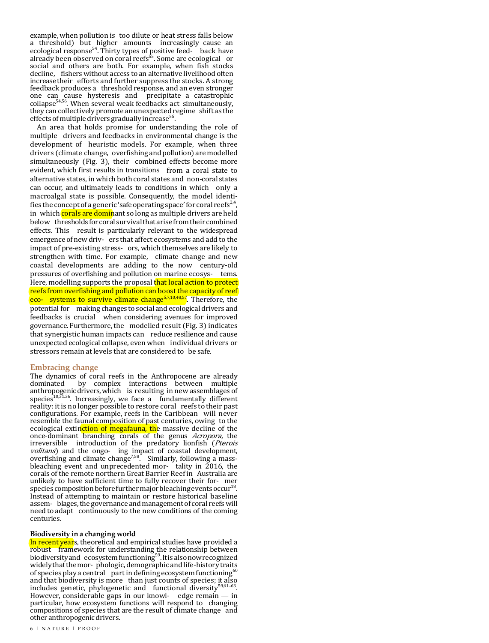example, when pollution is too dilute or heat stress falls below a threshold) but higher amounts increasingly cause an ecological response<sup>54</sup>. Thirty types of positive feed- back have already been observed on coral reefs<sup>55</sup>. Some are ecological or social and others are both. For example, when fish stocks decline, fishers without access to an alternative livelihood often increasetheir efforts and further suppress the stocks. A strong feedback produces a threshold response, and an even stronger one can cause hysteresis and precipitate a catastrophic collapse<sup>54,56</sup>. When several weak feedbacks act simultaneously, they can collectively promote an unexpected regime shift as the effects of multiple drivers gradually increase<sup>55</sup>.

An area that holds promise for understanding the role of multiple drivers and feedbacks in environmental change is the development of heuristic models. For example, when three drivers (climate change, overfishing and pollution) are modelled simultaneously (Fig. 3), their combined effects become more evident, which first results in transitions from a coral state to alternative states, in which both coral states and non-coralstates can occur, and ultimately leads to conditions in which only a macroalgal state is possible. Consequently, the model identifies the concept of a generic 'safe operating space' for coral reefs<sup>2,4</sup>, in which corals are dominant so long as multiple drivers are held below thresholds for coral survival that arise from their combined effects. This result is particularly relevant to the widespread emergence of new driv- ers that affect ecosystems and add to the impact of pre-existing stress- ors, which themselves are likely to strengthen with time. For example, climate change and new coastal developments are adding to the now century-old pressures of overfishing and pollution on marine ecosys- tems. Here, modelling supports the proposal that local action to protect reefs from overfishing and pollution can boost the capacity of reef eco- systems to survive climate change<sup>5,7,10,48,57</sup>. Therefore, the potential for making changes to social andecological drivers and feedbacks is crucial when considering avenues for improved governance. Furthermore, the modelled result (Fig. 3) indicates that synergistic human impacts can reduce resilience and cause unexpected ecological collapse, even when individual drivers or stressors remain atlevels that are considered to be safe.

#### **Embracing change**

The dynamics of coral reefs in the Anthropocene are already dominated by complex interactions between multiple by complex interactions between multiple anthropogenic drivers, which is resulting in new assemblages of species<sup>10,31,36</sup>. Increasingly, we face a fundamentally different reality: it is no longer possible to restore coral reefs to their past configurations. For example, reefs in the Caribbean will never resemble the faunal composition of past centuries, owing to the ecological extin<mark>ction of megafauna, th</mark>e massive decline of the once-dominant branching corals of the genus *Acropora*, the irreversible introduction of the predatory lionfish (Pterois *volitans*) and the ongo- ing impact of coastal development, overfishing and climate change<sup>7,58</sup>. Similarly, following a massbleaching event and unprecedented mor- tality in 2016, the corals of the remote northern Great Barrier Reef in Australia are unlikely to have sufficient time to fully recover their for- mer species composition before further major bleaching events occur<sup>18</sup> Instead of attempting to maintain or restore historical baseline assem- blages,the governance andmanagementof coral reefswill need to adapt continuously to the new conditions of the coming centuries.

#### **Biodiversity in a changing world**

<mark>In recent year</mark>s, theoretical and empirical studies have provided a robust framework for understanding the relationship between<br>biodiversityand ecosystemfunctioning<sup>59</sup>.Itis also now recognized widely that the mor-phologic, demographic and life-history traits of species play a central part in defining ecosystem functioning $60$ and that biodiversity is more than just counts of species; it also includes genetic, phylogenetic and functional diversity<sup>59,61–63</sup>.<br>However, considerable gaps in our knowl- edge remain — in particular, how ecosystem functions will respond to changing compositions of species that are the result of climate change and other anthropogenicdrivers.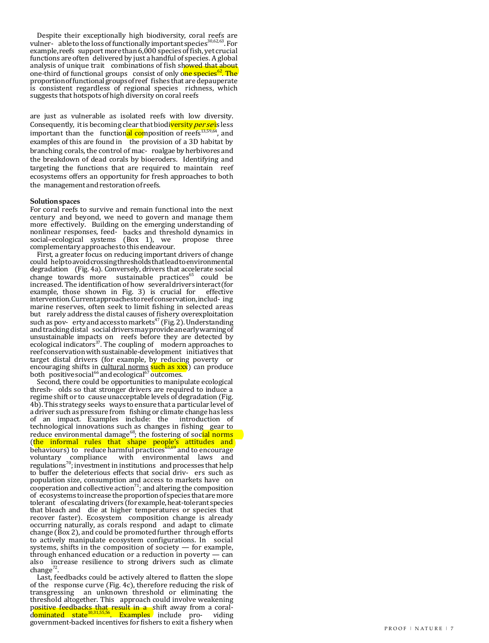Despite their exceptionally high biodiversity, coral reefs are vulner-<br>  $\frac{1}{2}$  able to the loss of functionally important species<sup>30,62,63</sup>. For example, reefs support more than  $6,000$  species of fish, yet crucial functions areoften delivered by just a handful of species. A global analysis of unique trait combinations of fish showed that about one-third of functional groups consist of only one species<sup>62</sup>. The proportionoffunctionalgroupsofreef fishes that aredepauperate is consistent regardless of regional species richness, which suggests thathotspots of high diversity on coral reefs

are just as vulnerable as isolated reefs with low diversity. Consequently, it is becoming clear that biodiversity per seis less important than the function<mark>al co</mark>mposition of reefs<sup>13,59,64</sup>, and examples of this are found in the provision of a 3D habitat by branching corals, the control of mac - roalgae by herbivores and the breakdown of dead corals by bioeroders. Identifying and targeting the functions that are required to maintain reef ecosystems offers an opportunity for fresh approaches to both the management and restoration of reefs.

#### **Solutionspaces**

For coral reefs to survive and remain functional into the next century and beyond, we need to govern and manage them more effectively. Building on the emerging understanding of nonlinear responses, feed - backs and threshold dynamics in social –ecological systems (Box 1), we propose three complementaryapproachestothis endeavour.

First, a greater focus on reducing important drivers of change could helptoavoidcrossingthresholdsthatleadtoenvironmental degradation (Fig. 4a). Conversely, drivers that accelerate social change towards more sustainable practices $^{65}$  could be increased. The identification of how severaldriversinteract(for example, those shown in Fig. 3) is crucial for effective intervention.Currentapproachestoreefconservation,includ - ing marine reserves, often seek to limit fishing in selected areas but rarely address the distal causes of fishery overexploitation such as pov- erty and access to markets<sup>47</sup> (Fig. 2). Understanding and tracking distal social drivers may provide an early warning of unsustainable impacts on reefs before they are detected by ecological indicators<sup>37</sup>. The coupling of modern approaches to reef conservation with sustainable-development initiatives that target distal drivers (for example, by reducing poverty or encouraging shifts in <u>cultural norms</u> such as xxx) can produce both positive social<sup>66</sup> and ecological<sup>67</sup> outcomes.

Second, there could be opportunities to manipulate ecological thresh-olds so that stronger drivers are required to induce a regime shift or to cause unacceptable levels of degradation (Fig. 4b). This strategy seeks ways to ensure that a particular level of a driver suchas pressure from fishing or climate change has less of an impact. Examples include: the introduction of technological innovations such as changes in fishing gear to reduce environmental damage<sup>68</sup>; the fostering of social norms (**the informal rules that shape people's attitudes and**<br>behaviours) to reduce harmful practices<sup>65,69</sup> and to encourage voluntary compliance with environmental laws and regulations<sup>70</sup>; investment in institutions and processes that help to buffer the deleterious effects that social driv - ers such as population size, consumption and access to markets have on cooperation and collective  $\arctan^{-1}$ ; and altering the composition of ecosystemstoincreasetheproportionofspeciesthataremore tolerant ofescalatingdrivers (for example,heat -tolerant species that bleach and die at higher temperatures or species that recover faster). Ecosystem composition change is already occurring naturally, as corals respond and adapt to climate change (Box 2), and could be promoted further through efforts to actively manipulate ecosystem configurations. In social systems, shifts in the composition of society — for example, through enhanced education or a reduction in poverty also increase resilience to strong drivers such as climate change<sup>72</sup>.

Last, feedbacks could be actively altered to flatten the slope of the response curve (Fig. 4c), therefore reducing the risk of transgressing an unknown threshold or eliminating the threshold altogether. This approach could involve weakening positive feedbacks that result in a shift away from a coral-<br>dominated state<sup>10,31,55,56</sup>. Examples include pro- viding government -backed incentives for fishers to exit a fishery when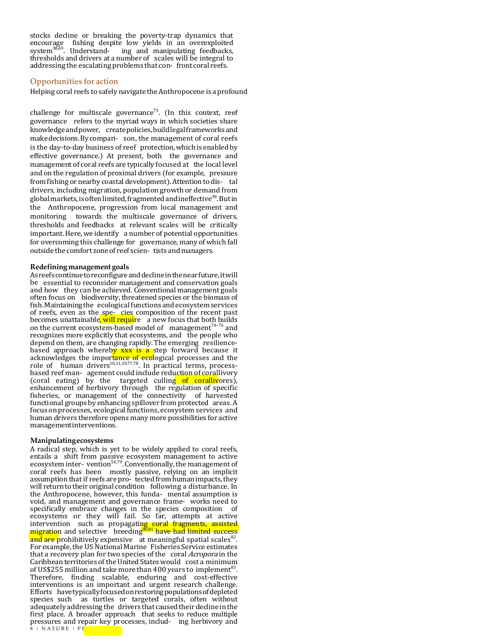stocks decline or breaking the poverty-trap dynamics that encourage fishing despite low yields in an overexploited<br>system<sup>38,69</sup>. Understand- ing and manipulating feedbacks, thresholds and drivers at a number of scales will be integral to addressing the escalating problems that con- front coral reefs.

# **Opportunities for action**

Helping coral reefs to safely navigate the Anthropocene is a profound

challenge for multiscale governance<sup>73</sup>. (In this context, reef governance refers to the myriad ways in which societies share knowledgeandpower, createpolicies,buildlegalframeworksand makedecisions.Bycompari- son, the management of coral reefs is the day-to-day business of reef protection, which is enabled by effective governance.) At present, both the governance and management of coral reefs are typically focused at the local level and on the regulation of proximal drivers (for example, pressure from fishing or nearby coastal development). Attention to dis- tal drivers, including migration, population growth or demand from global markets, is often limited, fragmented and ineffective  $38$ . But in the Anthropocene, progression from local management and monitoring towards the multiscale governance of drivers, thresholds and feedbacks at relevant scales will be critically important.Here,we identify a number of potential opportunities for overcoming this challenge for governance, many of which fall outside the comfort zone of reef scien- tistsandmanagers.

#### **Redefining management goals**

As reefs continue to reconfigure and decline in the near future, it will be essential to reconsider management and conservation goals and how they can be achieved. Conventional management goals often focus on biodiversity, threatened species or the biomass of fish. Maintaining the ecological functions and ecosystem services of reefs, even as the spe-cies composition of the recent past becomes unattainable<mark>, will requi</mark>re a new focus that both builds on the current ecosystem-based model of  $m$ anagement<sup>74-76</sup> and recognizes more explicitly that ecosystems, and the people who depend on them, are changing rapidly. The emerging resiliencebased approach whereb<mark>y xxx is a </mark>step forward because it acknowledges the importance of ecological processes and the<br>role of human drivers<sup>10,31,39,77,78</sup>. In practical terms, processbased reef man- agement could include reduction of corallivory (coral eating) by the targeted culling of corallivores), enhancement of herbivory through the regulation of specific fisheries, or management of the connectivity of harvested functional groups by enhancing spillover from protected areas.A focus on processes, ecological functions, ecosystem services and human drivers therefore opens many more possibilities for active managementinterventions.

#### **Manipulatingecosystems**

 $8$  | N AT U R E | P F A radical step, which is yet to be widely applied to coral reefs, entails a shift from passive ecosystem management to active ecosystem inter- vention<sup>54,79</sup>. Conventionally, the management of coral reefs has been mostly passive, relying on an implicit assumption that if reefs are pro- tected from human impacts, they will return to their original condition following a disturbance. In the Anthropocene, however, this funda- mental assumption is void, and management and governance frame- works need to specifically embrace changes in the species composition of ecosystems or they will fail. So far, attempts at active intervention such as propagati<mark>ng coral fragments, assisted</mark><br><mark>migratio</mark>n and selective breeding<sup>80,81</sup> have had limited success and are prohibitively expensive at meaningful spatial scales<sup>82</sup>. For example, the US National Marine Fisheries Service estimates that a recovery plan for two species of the coral *Acropora* in the Caribbean territories of the United States would cost a minimum of US\$255 million and take more than 400 years to implement<sup>83</sup>. Therefore, finding scalable, enduring and cost-effective interventions is an important and urgent research challenge. Efforts havetypicallyfocusedonrestoringpopulationsofdepleted species such as turtles or targeted corals, often without adequately addressing the drivers that caused their decline in the first place. A broader approach that seeks to reduce multiple pressures and repair key processes, includ- ing herbivory and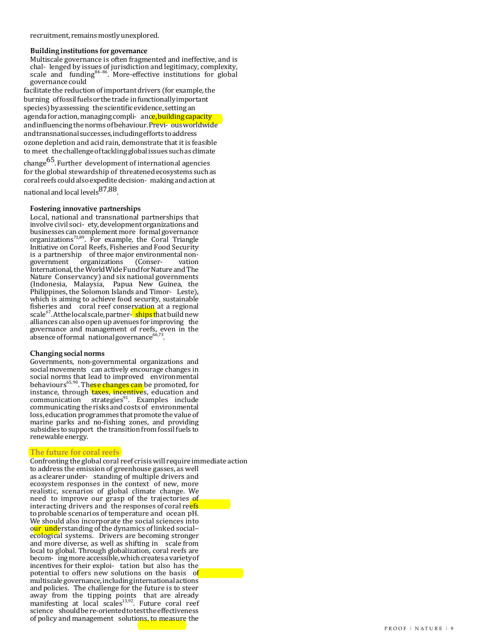#### **Building institutions for governance**

Multiscale governance is often fragmented and ineffective, and is chal- lenged by issues of jurisdiction and legitimacy, complexity,<br>scale and funding<sup>84–86</sup>. More-effective institutions for global governance could

facilitate the reduction of important drivers (for example, the burning offossilfuelsorthetrade infunctionallyimportant species)byassessing thescientificevidence, settingan agenda for action, managing compli- anc<mark>e, building capacity</mark> and influencing the norms of behaviour. Previ-Tous worldwide andtransnationalsuccesses,includingeffortstoaddress ozone depletion and acid rain, demonstrate that it is feasible to meet the challenge of tackling global issues such as climate

change<sup>65</sup>. Further development of international agencies for the global stewardship of threatened ecosystems such as coral reefs could also expedite decision-  $\,$  making and action at national and local levels<sup>87,88</sup>.

#### **Fostering innovative partnerships**

Local, national and transnational partnerships that involve civil soci - ety,developmentorganizationsand businesses cancomplementmore formalgovernance organizations<sup>71,89</sup>. For example, the Coral Triangle Initiative on Coral Reefs, Fisheries and Food Security is a partnership of three major environmental non government organizations (Conser - vation International, the World Wide Fund for Nature and The Nature Conservancy) and six national governments (Indonesia, Malaysia, Papua New Guinea, the Philippines, the Solomon Islands and Timor - Leste), which is aiming to achieve food security, sustainable fisheries and coral reef conservation at a regional scale<sup>67</sup>. Atthe local scale, partner-<mark>\_ships t</mark>hat build new<br>''' alliances can also open up avenues for improving the governance and management of reefs, even in the<br>absence of formal nationalgovernance<sup>66,73</sup>.

#### **Changing socialnorms**

Governments, non -governmental organizations and social movements can actively encourage changes in social norms that lead to improved environmental behaviours<sup>65,90</sup>. Th<mark>ese changes can</mark> be promoted, for instance, through taxes, incentives, education and communication strategies<sup>91</sup>. Examples include communicating the risks and costs of environmental loss, education programmes that promote the value of marine parks and no -fishing zones, and providing subsidies to support the transition from fossil fuels to renewable energy.

## **Th e future for coral reefs**

Confronting the global coral reef crisis will require immediate action to address the emission of greenhouse gasses, as well as a clearer under - standing of multiple drivers and ecosystem responses in the context of new, more realistic, scenarios of global climate change. We need to improve our grasp of the trajectories of interacting drivers and the responses of coral re<mark>efs</mark> to probable scenarios of temperature and ocean pH. We should also incorporate the social sciences into o<mark>ur<sub>,</sub> und</mark>erstanding of the dynamics of linked social– ecological systems. Drivers are becoming stronger and more diverse, as well as shifting in scale from local to global. Through globalization, coral reefs are becom- ing more accessible, which creates a variety of incentives for their exploi - tation but also has the potential to offers new solutions on the basis of multiscalegovernance,includinginternationalactions and policies. The challenge for the future is to steer away from the tipping points that are already<br>manifesting at local scales<sup>13,92</sup>. Future coral reef science shouldbere -orientedtotesttheeffectiveness of policy and management solutions, to measure the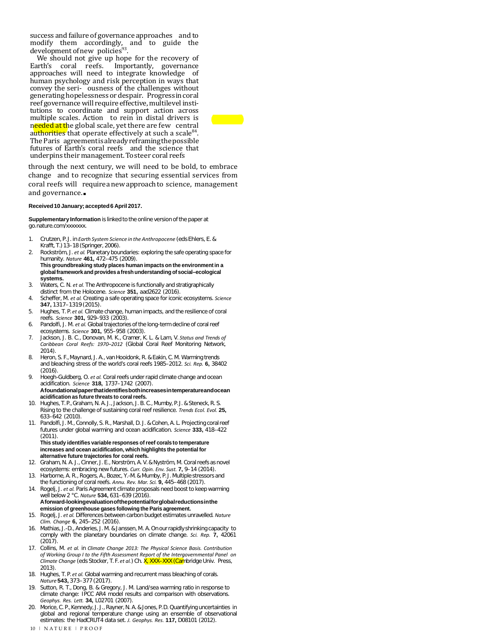success and failure of governance approaches and to modify them accordingly, and to guide the development of new policies<sup>9</sup>

We should not give up hope for the recovery of Earth's coral reefs. Importantly, governance approaches will need to integrate knowledge of human psychology and risk perception in ways that convey the seri- ousness of the challenges without generatinghopelessness ordespair. Progressincoral reef governance will require effective, multilevel institutions to coordinate and support action across multiple scales. Action to rein in distal drivers is needed at the global scale, yet there are few central authorities that operate effectively at such a scale<sup>84</sup>. The Paris agreement is already reframing the possible futures of Earth's coral reefs and the science that underpins their management. To steer coral reefs

through the next century, we will need to be bold, to embrace change and to recognize that securing essential services from coral reefs will requireanewapproachto science, management and governance.■

#### **Received10 January; accepted6 April 2017.**

**Supplementary Information** is linked to the online version of the paper at go.nature.com/xxxxxxx.

- 1. Crutzen,P.J.in *Earth System Science in the Anthropocene* (edsEhlers, E.& Krafft, T.)13–18 (Springer, 2006).
- 2. Rockström, J. *et al.* Planetary boundaries: exploring the safe operating space for humanity. *Nature* **461,** 472–475 (2009).
- **This groundbreaking study places human impacts on the environmentin a globalframeworkand provides a fresh understanding of social–ecological systems.**
- 3. Waters, C. N. *et al.* The Anthropocene is functionally and stratigraphically distinct from the Holocene. *Science* **351,** aad2622 (2016).
- 4. Scheffer, M. *et al.* Creating a safe operating space for iconic ecosystems. *Science* **347,** 1317–1319 (2015).
- 5. Hughes, T. P.*et al.* Climate change, human impacts, and the resilience of coral reefs. *Science* **301,** 929–933 (2003).
- 6. Pandolfi, J. M. *et al.* Global trajectories of the long-term decline of coral reef ecosystems. *Science* **301,** 955–958 (2003).
- 7. Jackson, J. B. C., Donovan, M. K., Cramer, K. L. & Lam, V. *Status and Trends of Caribbean Coral Reefs: 1970–2012* (Global Coral Reef Monitoring Network, 2014)
- 8. Heron, S. F., Maynard, J. A., van Hooidonk, R. & Eakin, C. M. Warming trends and bleaching stress of the world's coral reefs 1985–2012. *Sci. Rep.* **6,** 38402 (2016).
- 9. Hoegh-Guldberg, O. *et al.* Coral reefs under rapid climate change and ocean acidification. *Science* **318,** 1737–1742 (2007). **Afoundationalpaperthatidentifiesbothincreasesintemperatureandocean acidification as future threats to coralreefs.**
- 10. Hughes, T.P., Graham, N. A. J., Jackson, J. B. C., Mumby, P.J. & Steneck, R. S. Rising to the challenge of sustaining coral reef resilience. *Trends Ecol. Evol.* **25,** 633–642 (2010).
- 11. Pandolfi, J. M., Connolly, S. R., Marshall, D. J. & Cohen, A. L. Projecting coralreef futures under global warming and ocean acidification. *Science* **333,** 418–422 (2011).

#### **This study identifies variable responses of reef corals to temperature increases and ocean acidification, which highlights the potential for alternative future trajectories for coral reefs.**

- 12. Graham, N. A. J., Cinner, J. E., Norström, A. V. & Nyström, M. Coral reefs as novel ecosystems: embracing new futures. *Curr. Opin. Env. Sust.* **7,** 9–14 (2014).
- 13. Harborne, A. R., Rogers, A., Bozec, Y.-M.& Mumby, P.J. Multiple stressors and the functioning of coral reefs. *Annu. Rev. Mar. Sci.* **9,** 445–468 (2017).
- 14. Rogelj, J. *et al.* Paris Agreement climate proposals need boost to keep warming well below 2 °C. *Nature* **534,** 631–639 (2016). **Aforward-lookingevaluationofthepotentialforglobalreductionsinthe**
- **emission of greenhouse gases following the Paris agreement.** 15. Rogelj, J. *et al.* Differences between carbon budget estimates unravelled. *Nature*
- *Clim. Change* **6,** 245–252 (2016).
- 16. Mathias, J.-D.,Anderies, J. M.&Janssen, M. A. On ourrapidly shrinking capacity to comply with the planetary boundaries on climate change. *Sci. Rep.* **7,** 42061  $(2017)$
- 17. Collins, M. *et al.* in *Climate Change 2013: The Physical Science Basis. Contribution of Working Group I to the Fifth Assessment Report of the Intergovernmental Panel on Climate Change* (eds Stocker, T.F. *et al.*) Ch. X, XXX–XXX (Cambridge Univ. Press, 2013).
- 18. Hughes, T. P. *et al.* Global warming and recurrent mass bleaching of corals. *Nature* **543,** 373–377 (2017).
- Sutton, R. T., Dong, B. & Gregory, J. M. Land/sea warming ratio in response to climate change: IPCC AR4 model results and comparison with observations. *Geophys. Res. Lett.* **34,** L02701 (2007).
- 20. Morice, C. P., Kennedy, J. J., Rayner, N. A. & Jones, P. D. Quantifying uncertainties in global and regional temperature change using an ensemble of observational estimates: the HadCRUT4 data set. *J. Geophys. Res.* **117,** D08101 (2012).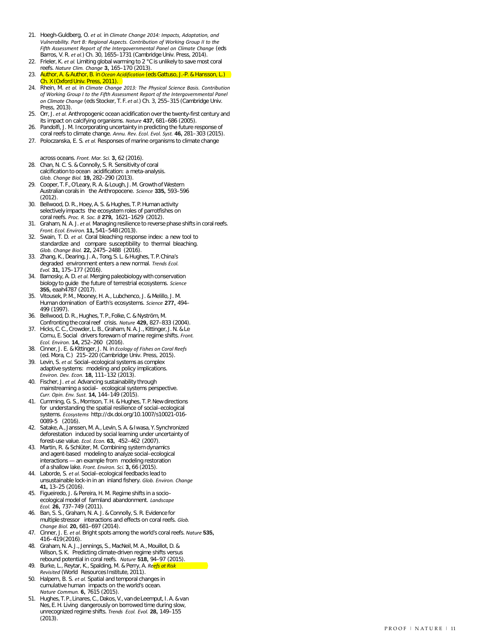- 21. Hoegh -Guldberg, O. *et al.* in *Climate Change 2014: Impacts, Adaptation, and Vulnerability . Part B: Regional Aspects. Contribution of Working Group II to the Fifth Assessment Report of the Intergovernmental Panel on Climate Change* (eds Barros, V . R. *et al.* ) Ch. 30, 1655 –1731 (Cambridge Univ . Press, 2014).
- 22. Frieler , K. *et al.* Limiting global warming to 2 °C is unlikely to save most coral reefs. *Nature Clim. Change* **3,** 165 –170 (2013).
- 23. <mark>Author, A. & Author, B. in *Ocean Acidification* (eds Gattuso, J.-P. & Hansson, L.)</mark> Ch. X (Oxfor d Univ . Press, 2011).
- 24. Rhein, M. *et al.* in *Climate Change 2013: The Physical Science Basis. Contribution of Working Group I to the Fifth Assessment Report of the Intergovernmental Panel on Climate Change* (eds Stocker, T. F. *et al.*) Ch. 3, 255–315 (Cambridge Univ. Press, 2013).
- 25. Orr , J. *et al.* Anthropogenic ocean acidification over the twenty -first century and its impact on calcifying organisms. *Nature* **437,** 681 –686 (2005).
- 26. Pandolfi, J. M. Incorporating uncertainty in predicting the futur e response of
- coral reefs to climate change. *Annu. Rev . Ecol. Evol. Syst.* **46,** 281 –303 (2015). 27. Poloczanska, E. S. *et al.* Responses of marine organisms to climate change

across oceans. *Front. Mar. Sci.* **3,** 62 (2016).

- 28. Chan, N. C. S. & Connolly, S. R. Sensitivity of coral calcification to ocean acidification: a meta -analysis. *Glob. Change Biol.* **19,** 282 –290 (2013).
- 29. Cooper, T. F., O'Leary, R. A. & Lough, J. M. Growth of Western Australian corals in the Anthropocene. *Science* **335,** 593 –596 (2012).
- 30. Bellwood, D. R., Hoey, A. S. & Hughes, T. P. Human activity selectively impacts the ecosystem roles of parrotfishes on coral reefs. *Proc. R. Soc. B* **279,** 1621 –1629 (2012).
- 31. Graham, N. A. J. *et al.* Managing resilience to reverse phase shifts in coral reefs. *Front. Ecol. Environ.***11,** 541 –548(2013).
- 32. Swain, T . D. *et al.* Coral bleaching response index: a new tool to standardize and compar e susceptibility to thermal bleaching. *Glob. Change Biol.* **22,** 2475 –2488 (2016).
- 33. Zhang, K., Dearing, J. A., Tong, S. L. & Hughes, T. P. China's degraded environment enters a new normal. *Trends Ecol. Evol.* **31,** 175 –177 (2016).
- 34. Barnosk y , A. D. *et al.* Merging paleobiology with conservation biology to guide the futur e of terrestrial ecosystems. *Science* **355,** eaah4787 (2017).
- 35. Vitousek, P.M., Mooney, H. A., Lubchenco, J. & Melillo, J. M. Human domination of Earth's ecosystems. *Science* **277,** 494 – 499 (1997).
- 36. Bellwood, D. R., Hughes, T. P., Folke, C. & Nyström, M. Confronting the coral reef crisis. Nature 429, 827-833 (2004).
- 37. Hicks, C. C., Crowder, L. B., Graham, N. A. J., Kittinger, J. N. & Le Cornu, E. Social drivers forewarn of marine regime shifts. *Front. Ecol. Environ.* **14,** 252 –260 (2016).
- 38. Cinner, J. E. & Kittinger, J. N. in *Ecology of Fishes on Coral Reefs* (ed. Mora, C.) 215 –220 (Cambridge Univ . Press, 2015).
- 39. Levin, S. *et al.* Social –ecological systems as comple x adaptive systems: modeling and policy implications. *Environ. Dev . Econ.* **18,** 111 –132 (2013).
- 40. Fischer , J. *et al.* Advancing sustainability through mainstreaming a social – ecological systems perspective. *Curr. Opin. Env . Sust.* **14,** 144 –149 (2015).
- 41. Cumming, G. S., Morrison, T. H. & Hughes, T. P. New directions for understanding the spatial resilience of social –ecological systems. *Ecosystems* [http://dx.doi.org/10.1007/s10021](http://dx.doi.org/10.1007/s10021-016-0089-5) -016 - [0089](http://dx.doi.org/10.1007/s10021-016-0089-5) - 5 (2016).
- 42. Satake, A., Janssen, M. A., Levin, S. A. & Iwasa, Y. Synchronized deforestation induced by social learning under uncertainty of forest -use value. *Ecol. Econ.* **63,** 452 –462 (2007).
- 43. Martin, R. & Schlüter , M. Combining system dynamics and agent -based modeling to analyze social –ecological interactions — an example from modeling restoration of a shallow lake. *Front. Environ. Sci.* **3,** 66 (2015).
- 44. Laborde, S. *et al.* Social –ecological feedbacks lead to unsustainable lock -in in an inland fishery . *Glob. Environ. Change* **41,** 13 –25 (2016).
- 45. Figueiredo, J. & Pereira, H. M. Regime shifts in a socio ecological model of farmland abandonment. *Landscape Ecol.* **26,** 737 –749 (2011).
- 46. Ban, S. S., Graham, N. A. J. & Connolly , S. R. Evidence for multiple stressor interactions and effects on coral reefs. *Glob. Change Biol.* **20,** 681 –697 (2014).
- 47. Cinner , J. E. *et al.* Bright spots among the world's coral reefs. *Nature* **535,** 416 –419(2016).
- 48. Graham, N. A. J., Jennings, S., MacNeil, M. A., Mouillot, D. & Wilson, S.K. Predicting climate -driven regime shifts versus rebound potential in coral reefs. Nature 518, 94-97 (2015).
- 49. Burke, L., Reytar , K., Spalding, M. & Perry , A. *Reefs at Risk Revisited* (World Resources Institute, 2011).
- 50. Halpern, B. S. *et al.* Spatial and temporal changes in cumulative human impacts on the world's ocean. *Nature Commun.* **6,** 7615 (2015).
- 51. Hughes, T.P., Linares, C., Dakos, V., van de Leemput, I. A. & van Nes, E.H. Living dangerously on borrowed time during slow , unrecognized regime shifts. *Trends Ecol. Evol.* **28,** 149 –155 (2013).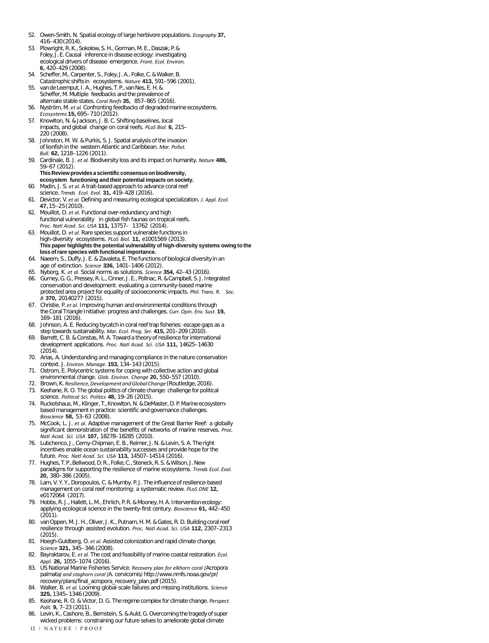- 52. Owen-Smith, N. Spatial ecology of large herbivore populations. *Ecography* **37,** 416–430(2014).
- 53. Plowright,R.K., Sokolow,S.H.,Gorman, M. E.,Daszak, P.& Foley, J. E.Causal inference in disease ecology: investigating ecological drivers of disease emergence. *Front. Ecol. Environ.* **6,** 420–429 (2008).
- 54. Scheffer,M.,Carpenter,S., Foley, J.A., Folke,C.& Walker,B. Catastrophic shifts in ecosystems. *Nature* **413,** 591–596 (2001).
- 55. van de Leemput,I.A.,Hughes,T.P.,vanNes, E.H.& Scheffer, M. Multiple feedbacks and the prevalence of alternate stable states. *Coral Reefs* **35,** 857–865 (2016).
- 56. Nyström, M. *et al.* Confronting feedbacks of degraded marine ecosystems. *Ecosystems* **15,** 695–710 (2012).
- 57. Knowlton, N. & Jackson, J. B. C. Shifting baselines, local impacts, and global change on coral reefs. *PLoS Biol.* **6,** 215– 220 (2008).
- 58. Johnston, M. W. & Purkis, S. J. Spatial analysis of the invasion of lionfish in the western Atlantic and Caribbean. *Mar. Pollut. Bull.* **62,** 1218–1226 (2011).
- 59. Cardinale, B. J. *et al.* Biodiversity loss and its impact on humanity. *Nature* **486,** 59–67 (2012).
- **ThisReviewprovidesa scientificconsensusonbiodiversity, ecosystem functioning and their potential impacts on society.**
- 60. Madin, J. S. *et al.* A trait-based approach to advance coral reef science. *Trends Ecol. Evol.* **31,** 419–428 (2016).
- 61. Devictor, V. *et al.* Defining and measuring ecological specialization. *J. Appl. Ecol.* **47,**15–25(2010).
- 62. Mouillot, D. *et al.* Functional over-redundancy and high functional vulnerability in global fish faunas on tropical reefs. *Proc. Natl Acad. Sci. USA* **111,** 13757– 13762 (2014).
- 63. Mouillot, D. *et al.* Rare species support vulnerable functions in high-diversity ecosystems. *PLoS Biol.* **11,** e1001569 (2013). **This paper highlights the potential vulnerability of high-diversity systems owing to the loss ofrare species with functional importance.**
- 64. Naeem, S., Duffy, J. E. & Zavaleta, E. The functions of biological diversity in an age of extinction. *Science* **336,** 1401–1406 (2012).
- 65. Nyborg, K. *et al.* Social norms as solutions. *Science* **354,** 42–43 (2016). 66. Gurney,G.G., Pressey,R. L.,Cinner, J.E., Pollnac, R.&Campbell, S. J.Integrated conservation and development: evaluating a community-based marine protected area project for equality of socioeconomic impacts. *Phil. Trans. R. Soc. B* **370,** 20140277 (2015).
- 67. Christie, P. *et al.* Improving human and environmental conditions through the Coral Triangle Initiative: progress and challenges. *Curr. Opin. Env. Sust.* **19,** 169–181 (2016).
- 68. Johnson, A. E. Reducing bycatch in coral reef trap fisheries: escape gaps as a step towards sustainability. *Mar. Ecol. Prog. Ser.* **415,** 201–209 (2010).
- 69. Barrett, C. B. & Constas, M. A. Toward a theory of resilience for international development applications. *Proc. Natl Acad. Sci. USA* **111,** 14625–14630 (2014).
- 70. Arias, A. Understanding and managing compliance in the nature conservation context. J. *Environ. Manage.* **153,** 134–143 (2015).
- 71. Ostrom, E. Polycentric systems for coping with collective action and global environmental change. *Glob. Environ. Change* **20,** 550–557 (2010).
- 72. Brown, K. *Resilience, Development and Global Change* (Routledge, 2016).<br>73. Keobane, R. O. The global politics of climate change: challenge for politic Keohane, R. O. The global politics of climate change: challenge for political
- science. *Political Sci. Politics* **48,** 19–26 (2015). 74. Ruckelshaus, M., Klinger, T., Knowlton, N. & DeMaster, D. P. Marine ecosystem-
- based management in practice: scientific and governance challenges. *Bioscience* **58,** 53–63 (2008).
- 75. McCook, L. J. *et al.* Adaptive management of the Great Barrier Reef: a globally significant demonstration of the benefits of networks of marine reserves. *Proc. Natl Acad. Sci. USA* **107,** 18278–18285 (2010).
- 76. Lubchenco, J., Cerny-Chipman, E. B., Reimer, J.N.& Levin, S. A. The right incentives enable ocean sustainability successes and provide hope for the future. *Proc. Natl Acad. Sci. USA* **113,** 14507–14514 (2016).
- 77. Hughes, T.P., Bellwood, D.R., Folke, C., Steneck, R.S. & Wilson, J. New paradigms for supporting the resilience of marine ecosystems. *Trends Ecol. Evol.* **20,** 380–386 (2005).
- 78. Lam, V.Y.Y.,Doropoulos, C. & Mumby, P.J. The influence ofresilience-based management on coral reef monitoring: a systematic review. *PLoS ONE* **12,** e0172064 (2017).
- 79. Hobbs, R. J., Hallett, L. M., Ehrlich, P. R. & Mooney, H. A. Intervention ecology applying ecological science in the twenty-first century. *Bioscience* **61,** 442–450 (2011).
- 80. van Oppen, M. J.H., Oliver, J. K., Putnam, H. M. & Gates, R.D. Building coralreef resilience through assisted evolution. *Proc. Natl Acad. Sci. USA* **112,** 2307–2313  $(2015)$
- 81. Hoegh-Guldberg, O. *et al.* Assisted colonization and rapid climate change. *Science* **321,** 345–346 (2008).
- 82. Bayraktarov, E. *et al.* The cost and feasibility of marine coastal restoration. *Ecol. Appl.* **26,** 1055–1074 (2016).
- 83. US National Marine Fisheries Service. *Recovery plan for elkhorn coral (*Acropora palmata*) and staghorn coral (*A. cervicornis*)* <http://www.nmfs.noaa.gov/pr/> recovery/plans/final\_acropora\_recovery\_plan.pdf (2015).
- 84. Walker, B. *et al.* Looming global-scale failures and missing institutions. *Science* **325,** 1345–1346 (2009).
- 85. Keohane, R. O. & Victor, D. G. The regime complex for climate change. *Perspect. Polit.* **9,** 7–23 (2011).
- 86. Levin, K., Cashore, B., Bernstein, S. & Auld, G. Overcoming the tragedy of super wicked problems: constraining our future selves to ameliorate global climate
- 12 | N A T U R E | P R O O F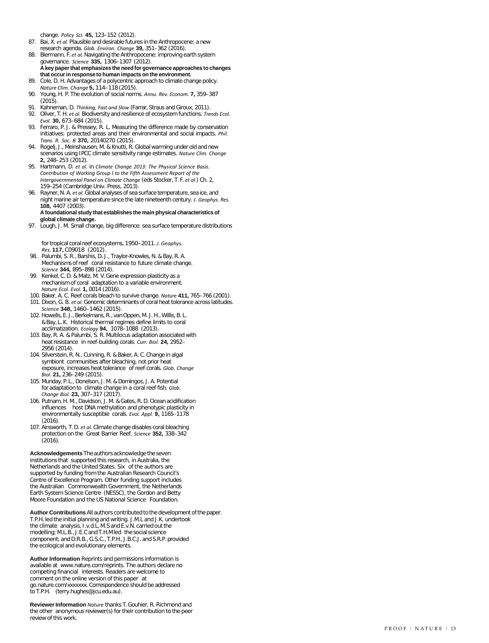change. *Policy Sci.* **45,** 123 –152 (2012).

- 87. Bai, X. *et al.* Plausible and desirable futures in the Anthropocene: a new research agenda. *Glob. Environ. Change* **39,** 351 –362 (2016).
- 88. Biermann, F . *et al.* Navigating the Anthropocene: improving earth system governance. *Science* **335,** 1306 –1307 (2012).
- **A key paperthat emphasizes the need for governance approaches to changes that occurin response to human impacts on the environment.**
- 89. Cole, D. H. Advantages of a polycentric approach to climate change policy . *Nature Clim. Change* **5,** 114 –118 (2015).
- 90. Young, H. P. The evolution of social norms. Annu. Rev. Econom. 7, 359–387  $(2015)$ .
- 91. Kahneman, D. *Thinking, Fast and Slow* (Farrar , Straus and Giroux, 2011).
- 92. Oliver , T .H. *et al.* Biodiversity and resilience of ecosystem functions. *Trends Ecol. Evol.* **30,** 673 –684 (2015).
- 93. Ferraro, P. J. & Pressey , R. L. Measuring the difference made by conservation initiatives: protected areas and their environmental and social impacts. *Phil. Trans. R. Soc. B* **370,** 20140270 (2015).
- 94. Rogelj, J., Meinshausen, M. & Knutti, R. Global warming under old and new scenarios using IPCC climate sensitivity range estimates. *Nature Clim. Change* **2,** 248 –253 (2012).
- 95. Hartmann, D. *et al.* in *Climate Change 2013: The Physical Science Basis. Contribution of Working Group I to the Fifth Assessment Report of the Intergovernmental Panel on Climate Change* (eds Stocker , T . F . *et al.* ) Ch. 2, 159 –254 (Cambridge Univ . Press, 2013).
- 96. Rayner, N. A. *et al.* Global analyses of sea surface temperature, sea ice, and night marine air temperatur e since the late nineteenth century . *J. Geophys. Res.* **108,** 4407 (2003).

#### **A foundational study that establishes the main physical characteristics of global climate change.**

97. Lough, J. M. Small change, big difference: sea surface temperatur e distributions

fortropical coral reef ecosystems, 1950 –2011. *J. Geophys. Res.* **117,** C09018 (2012).

- 98. Palumbi, S. R., Barshis, D. J., Traylor-Knowles, N. & Bay, R. A. Mechanisms of reef coral resistance to futur e climate change. *Science* **344,** 895 –898 (2014).
- 99. Kenkel, C. D. & Matz, M. V. Gene expression plasticity as a mechanism of coral adaptation to a variable environment. *Nature Ecol. Evol.* **1,** 0014 (2016).
- 100. Baker , A. C. Reef corals bleach to survive change. *Nature* **411,** 765 –766 (2001).
- 101. Dixon, G. B. *et al.* Genomic determinants of coral heat tolerance across latitudes. *Science* **348,** 1460 –1462 (2015).
- 102. Howells, E. J., Berkelmans, R., van Oppen, M. J. H., Willis, B. L. &Bay , L. K. Historical thermal regimes define limits to coral acclimatization. *Ecology* **94,** 1078 –1088 (2013).
- 103. Bay , R. A. & Palumbi , S. R. Multilocus adaptation associated with heat resistance in reef -building corals. *Curr. Biol.* **24,** 2952 – 2956 (2014).
- 104. Silverstein, R. N., Cunning, R. & Baker , A. C. Change in algal symbiont communities after bleaching, not prior heat exposure, increases heat tolerance of reef corals. *Glob. Change Biol.* **21,** 236 –249 (2015).
- 105. Munday, P. L., Donelson, J. M. & Domingos, J. A. Potential for adaptation to climate change in a coral reef fish. *Glob. Change Biol.* **23,** 307 –317 (2017).
- 106. Putnam, H. M., Davidson, J. M. & Gates, R. D. Ocean acidification influences host DNA methylation and phenotypic plasticity in environmentally susceptible corals. *Evol. Appl.* **9,** 1165 –1178 (2016).
- 107. Ainsworth, T .D. *et al.* Climate change disables coral bleaching protection on the Great Barrier Reef. *Science* **352,** 338 –342  $(2016)$

**Acknowledgements**The authors acknowledge the seven institutions that supported this research, in Australia, the Netherlands and the United States. Six of the authors ar e supported by funding from the Australian Research Council's Centr e of Excellence Program. Other funding support includes the Australian Commonwealth Government, the Netherlands Earth System Science Centr e (NESSC), the Gordon and Betty Moor e Foundation and the US National Science Foundation.

**Author Contributions** All authors contributed to the development ofthe paper . T.P.H. led the initial planning and writing. J.M.L and J.K. undertook<br>the climate analysis, I.v.d.L, M.S and E.v.N. carried out the modelling; M.L.B., J.E.C and T.H.Mled the social science component; and D.R.B.,G.S.C., T.P.H., J.B.C.J. and S.R.P .provided the ecological and evolutionary elements.

**Author Information** Reprints and permissions information is available at [www.nature.com/reprints.](http://www.nature.com/reprints) The authors declar e no competing financial interests. Readers ar e welcome to comment on the online version of this paper at go.nature.com/xxxxxxx. Correspondence should be addressed to T.P.H. (terry.hughes@jcu.edu.au).

Reviewer Information Nature thanks T. Gouhier, R. Richmond and the other anonymous reviewer(s) for their contribution to the peer review of this work.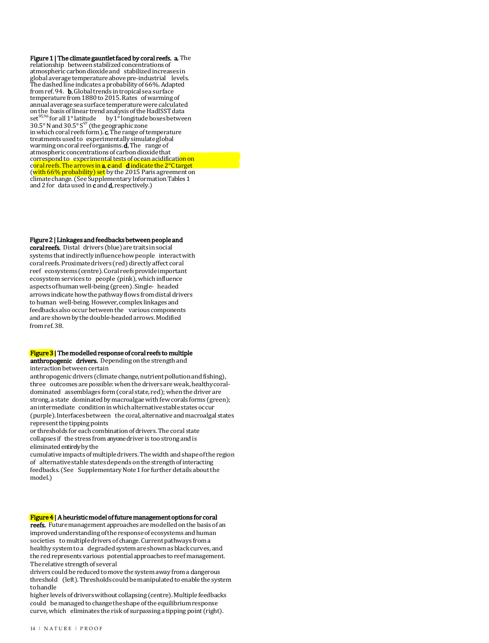Figure 1 | The climate gauntlet faced by coral reefs. a, The relationship between stabilized concentrations of atmosphericcarbondioxideand stabilizedincreases in global averagetemperatureabovepre-industrial levels. Thedashedline indicates aprobabilityof66%.Adapted from ref. 94.  $\,$ b, Global trends in tropical sea surface temperature from 1880 to 2015. Rates of warming of annualaveragesea surface temperaturewerecalculated on the basis of linear trend analysis of the HadISST data set<sup>95,96</sup> for all 1° latitude by 1° longitude boxes between 30.5°N and 30.5°S<sup>97</sup> (the geographic zone in which coral reefs form).  $c$ , The range of temperature treatmentsusedto experimentallysimulateglobal warming on coral reeforganisms. $\vec{d}$ , The range of atmospheric concentrations of carbon dioxide that correspond to experimental tests of ocean acidification on coral reefs. The arrows in  $a$ ,  $c$  and  $d$  indicate the 2 $\degree$ C target (with  $66\%$  probability) set by the 2015 Paris agreement on climate change. (See Supplementary Information Tables 1 and 2 for data used in  $\vec{c}$  and  $\vec{d}$ , respectively.)

#### Figure 2 | Linkages and feedbacks between people and

coral reefs. Distal drivers (blue) are traits in social systems that indirectly influence how people interact with coral reefs. Proximate drivers (red) directly affect coral reef ecosystems(centre).Coral reefsprovideimportant ecosystem services to people (pink), which influence aspectsofhumanwell-being(green).Single- headed arrows indicate how the pathway flows from distal drivers to human well-being. However, complex linkages and feedbacks also occur between the various components and are shown by the double-headed arrows. Modified fromref.38.

#### Figure 3 | The modelled response of coral reefs to multiple

anthropogenic drivers. Depending on the strength and interaction between certain

anthropogenic drivers (climate change, nutrient pollution and fishing), three outcomes are possible: when the drivers are weak, healthy coraldominated assemblages form (coral state, red); when the driver are strong, a state dominated by macroalgae with few corals forms (green); an intermediate condition in which alternative stable states occur (purple). Interfaces between the coral, alternative and macroalgal states represent the tipping points

or thresholds for each combinationofdrivers.The coral state collapses if the stress fromanyonedriver is too strongandis eliminated entirely by the

cumulative impacts of multiple drivers. The width and shape of the region of alternative stable states depends on the strength of interacting feedbacks. (See Supplementary Note 1 for further details about the model.)

#### Figure 4 | A heuristic model of future management options for coral

reefs. Future management approaches are modelled on the basis of an improved understanding of the response of ecosystems and human societies to multiple drivers of change. Current pathways from a healthy system to a degraded system are shown as black curves, and the red represents various potential approaches to reef management. The relative strength of several

drivers could be reduced to move the system away from a dangerous threshold (left). Thresholds could be manipulated to enable the system to handle

higher levels of drivers without collapsing (centre). Multiple feedbacks could bemanagedtochangethe shapeofthe equilibriumresponse curve, which eliminates the risk of surpassing a tipping point (right).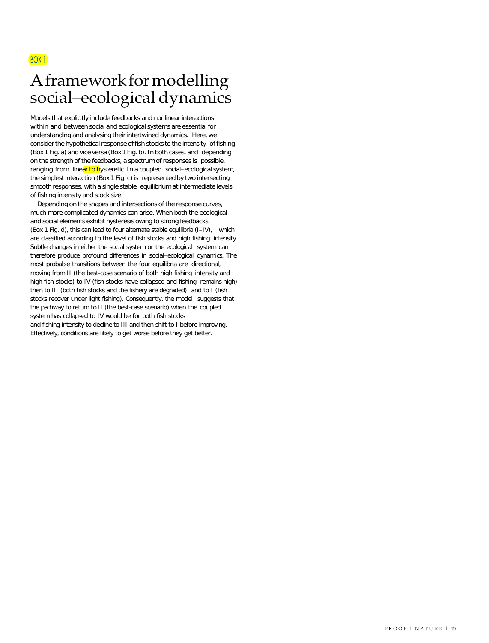

# A framework for modelling social–ecological dynamics

Models that explicitly include feedbacks and nonlinear interactions within and between social and ecological systems are essential for understanding and analysing their intertwined dynamics. Here, we consider the hypothetical response of fish stocks to the intensity of fishing (Box 1 Fig. a) and vice versa (Box 1 Fig. b). In both cases, and depending on the strength of the feedbacks, a spectrum of responses is possible, ranging from linear to hysteretic. In a coupled social–ecological system, the simplest interaction (Box 1 Fig. c) is represented by two intersecting smooth responses, with a single stable equilibrium at intermediate levels of fishing intensity and stock size.

Depending on the shapes and intersections of the response curves, much more complicated dynamics can arise. When both the ecological and social elements exhibit hysteresis owing to strong feedbacks (Box 1 Fig. d), this can lead to four alternate stable equilibria (I–IV), which are classified according to the level of fish stocks and high fishing intensity. Subtle changes in either the social system or the ecological system can therefore produce profound differences in social–ecological dynamics. The most probable transitions between the four equilibria are directional, moving from II (the best-case scenario of both high fishing intensity and high fish stocks) to IV (fish stocks have collapsed and fishing remains high) then to III (both fish stocks and the fishery are degraded) and to I (fish stocks recover under light fishing). Consequently, the model suggests that the pathway to return to II (the best-case scenario) when the coupled system has collapsed to IV would be for both fish stocks and fishing intensity to decline to III and then shift to I before improving. Effectively, conditions are likely to get worse before they get better.